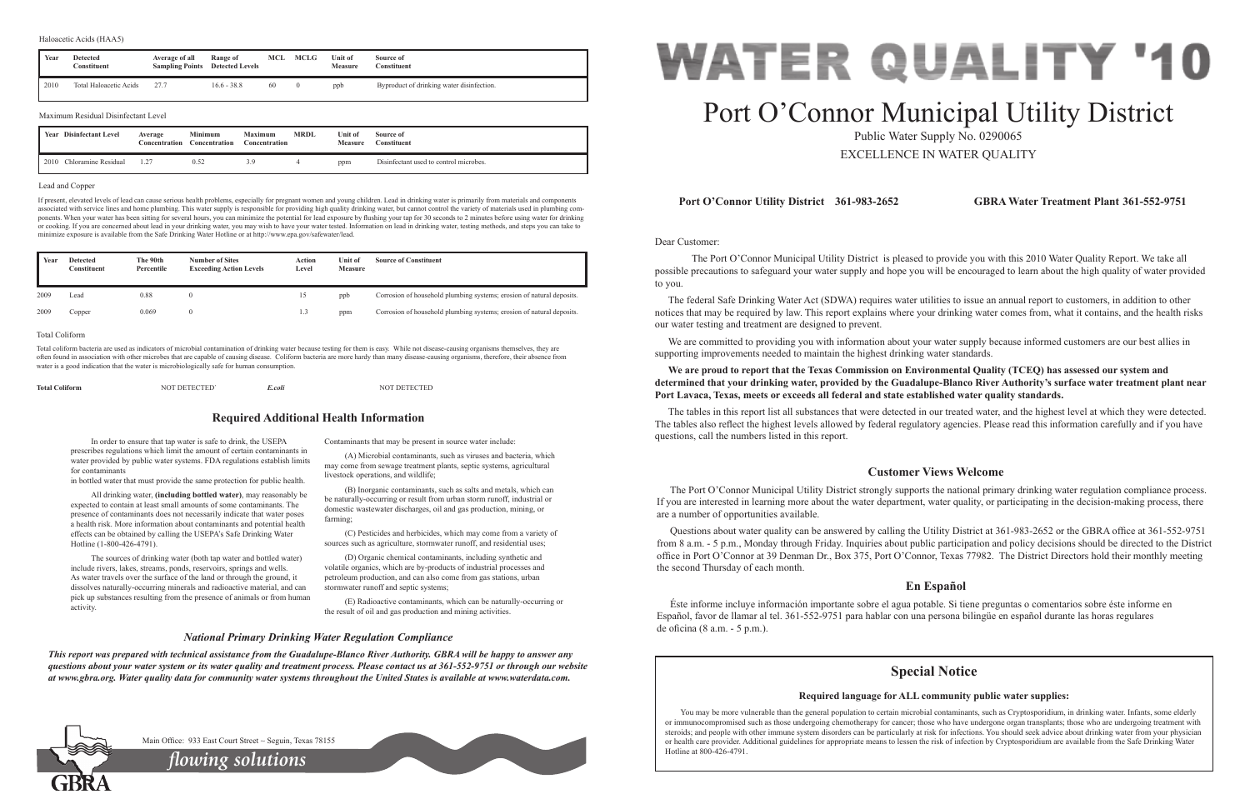Dear Customer:

 The Port O'Connor Municipal Utility District is pleased to provide you with this 2010 Water Quality Report. We take all possible precautions to safeguard your water supply and hope you will be encouraged to learn about the high quality of water provided to you.

The federal Safe Drinking Water Act (SDWA) requires water utilities to issue an annual report to customers, in addition to other notices that may be required by law. This report explains where your drinking water comes from, what it contains, and the health risks our water testing and treatment are designed to prevent.

We are committed to providing you with information about your water supply because informed customers are our best allies in supporting improvements needed to maintain the highest drinking water standards.

**We are proud to report that the Texas Commission on Environmental Quality (TCEQ) has assessed our system and determined that your drinking water, provided by the Guadalupe-Blanco River Authority's surface water treatment plant near** 

# **Port Lavaca, Texas, meets or exceeds all federal and state established water quality standards.**

The tables in this report list all substances that were detected in our treated water, and the highest level at which they were detected. The tables also reflect the highest levels allowed by federal regulatory agencies. Please read this information carefully and if you have questions, call the numbers listed in this report.

## **Port O'Connor Utility District 361-983-2652 GBRA Water Treatment Plant 361-552-9751**

## **Customer Views Welcome**

The Port O'Connor Municipal Utility District strongly supports the national primary drinking water regulation compliance process. If you are interested in learning more about the water department, water quality, or participating in the decision-making process, there are a number of opportunities available.

Questions about water quality can be answered by calling the Utility District at 361-983-2652 or the GBRA office at 361-552-9751 from 8 a.m. - 5 p.m., Monday through Friday. Inquiries about public participation and policy decisions should be directed to the District office in Port O'Connor at 39 Denman Dr., Box 375, Port O'Connor, Texas 77982. The District Directors hold their monthly meeting the second Thursday of each month.

## **En Español**

Éste informe incluye información importante sobre el agua potable. Si tiene preguntas o comentarios sobre éste informe en Español, favor de llamar al tel. 361-552-9751 para hablar con una persona bilingüe en español durante las horas regulares de oficina (8 a.m. - 5 p.m.).

In order to ensure that tap water is safe to drink, the USEPA prescribes regulations which limit the amount of certain contaminants in water provided by public water systems. FDA regulations establish limits for contaminants

in bottled water that must provide the same protection for public health.

All drinking water, **(including bottled water)**, may reasonably be expected to contain at least small amounts of some contaminants. The presence of contaminants does not necessarily indicate that water poses a health risk. More information about contaminants and potential health effects can be obtained by calling the USEPA's Safe Drinking Water Hotline (1-800-426-4791).

The sources of drinking water (both tap water and bottled water) include rivers, lakes, streams, ponds, reservoirs, springs and wells. As water travels over the surface of the land or through the ground, it dissolves naturally-occurring minerals and radioactive material, and can pick up substances resulting from the presence of animals or from human activity.

Contaminants that may be present in source water include:

(A) Microbial contaminants, such as viruses and bacteria, which may come from sewage treatment plants, septic systems, agricultural livestock operations, and wildlife;

(B) Inorganic contaminants, such as salts and metals, which can be naturally-occurring or result from urban storm runoff, industrial or domestic wastewater discharges, oil and gas production, mining, or farming;

> You may be more vulnerable than the general population to certain microbial contaminants, such as Cryptosporidium, in drinking water. Infants, some elderly or immunocompromised such as those undergoing chemotherapy for cancer; those who have undergone organ transplants; those who are undergoing treatment with steroids; and people with other immune system disorders can be particularly at risk for infections. You should seek advice about drinking water from your physician or health care provider. Additional guidelines for appropriate means to lessen the risk of infection by Cryptosporidium are available from the Safe Drinking Water Hotline at 800-426-4791.



(C) Pesticides and herbicides, which may come from a variety of sources such as agriculture, stormwater runoff, and residential uses;

(D) Organic chemical contaminants, including synthetic and volatile organics, which are by-products of industrial processes and petroleum production, and can also come from gas stations, urban stormwater runoff and septic systems;

(E) Radioactive contaminants, which can be naturally-occurring or the result of oil and gas production and mining activities.

## **Required Additional Health Information**

## *National Primary Drinking Water Regulation Compliance*

*This report was prepared with technical assistance from the Guadalupe-Blanco River Authority. GBRA will be happy to answer any questions about your water system or its water quality and treatment process. Please contact us at 361-552-9751 or through our website at www.gbra.org. Water quality data for community water systems throughout the United States is available at www.waterdata.com.*



# Port O'Connor Municipal Utility District

Public Water Supply No. 0290065 EXCELLENCE IN WATER QUALITY

### Lead and Copper

If present, elevated levels of lead can cause serious health problems, especially for pregnant women and young children. Lead in drinking water is primarily from materials and components associated with service lines and home plumbing. This water supply is responsible for providing high quality drinking water, but cannot control the variety of materials used in plumbing components. When your water has been sitting for several hours, you can minimize the potential for lead exposure by flushing your tap for 30 seconds to 2 minutes before using water for drinking or cooking. If you are concerned about lead in your drinking water, you may wish to have your water tested. Information on lead in drinking water, testing methods, and steps you can take to minimize exposure is available from the Safe Drinking Water Hotline or at http://www.epa.gov/safewater/lead.

| <b>Total Coliform</b> | NOT DETECTED' | E.coli | <b>NOT DETECTED</b> |
|-----------------------|---------------|--------|---------------------|
|                       |               |        |                     |

2010 Chloramine Residual 1.27 0.52 3.9 4 ppm Disinfectant used to control microbes.

| Year | <b>Detected</b><br>Constituent      | Average of all<br><b>Sampling Points</b> | Range of<br><b>Detected Levels</b>                | <b>MCL</b>    | MCLG           | Unit of<br><b>Measure</b> | Source of<br>Constituent                  |
|------|-------------------------------------|------------------------------------------|---------------------------------------------------|---------------|----------------|---------------------------|-------------------------------------------|
| 2010 | Total Haloacetic Acids              | 27.7                                     | $16.6 - 38.8$                                     | 60            | $\overline{0}$ | ppb                       | Byproduct of drinking water disinfection. |
|      | Maximum Residual Disinfectant Level |                                          |                                                   |               |                |                           |                                           |
|      | <b>Year</b> Disinfectant Level      | Average<br>Concentration                 | <b>Minimum</b><br><b>Maximum</b><br>Concentration | Concentration | <b>MRDL</b>    | Unit of<br><b>Measure</b> | Source of<br><b>Constituent</b>           |

| Year | <b>Detected</b><br>Constituent | The 90th<br>Percentile | <b>Number of Sites</b><br><b>Exceeding Action Levels</b> | Action<br>Level | Unit of<br><b>Measure</b> | <b>Source of Constituent</b>                                          |
|------|--------------------------------|------------------------|----------------------------------------------------------|-----------------|---------------------------|-----------------------------------------------------------------------|
| 2009 | Lead                           | 0.88                   |                                                          | 15              | ppb                       | Corrosion of household plumbing systems; erosion of natural deposits. |
| 2009 | Copper                         | 0.069                  |                                                          | 1.3             | ppm                       | Corrosion of household plumbing systems; erosion of natural deposits. |

### Total Coliform

Total coliform bacteria are used as indicators of microbial contamination of drinking water because testing for them is easy. While not disease-causing organisms themselves, they are often found in association with other microbes that are capable of causing disease. Coliform bacteria are more hardy than many disease-causing organisms, therefore, their absence from water is a good indication that the water is microbiologically safe for human consumption.

*flowing solutions*

Main Office: 933 East Court Street ~ Seguin, Texas 78155

## **Special Notice**

## **Required language for ALL community public water supplies:**